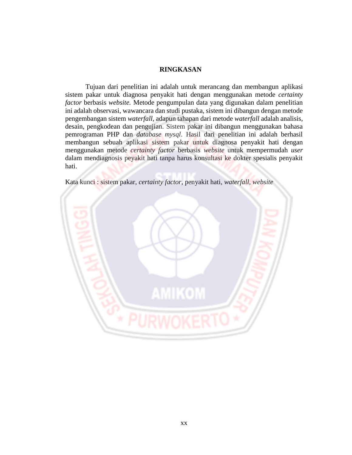## **RINGKASAN**

Tujuan dari penelitian ini adalah untuk merancang dan membangun aplikasi sistem pakar untuk diagnosa penyakit hati dengan menggunakan metode *certainty factor* berbasis *website.* Metode pengumpulan data yang digunakan dalam penelitian ini adalah observasi, wawancara dan studi pustaka, sistem ini dibangun dengan metode pengembangan sistem *waterfall,* adapun tahapan dari metode *waterfall* adalah analisis, desain, pengkodean dan pengujian. Sistem pakar ini dibangun menggunakan bahasa pemrograman PHP dan *database mysql*. Hasil dari penelitian ini adalah berhasil membangun sebuah aplikasi sistem pakar untuk diagnosa penyakit hati dengan menggunakan metode *certainty factor* berbasis *website* untuk mempermudah *user* dalam mendiagnosis peyakit hati tanpa harus konsultasi ke dokter spesialis penyakit hati.



Kata kunci : sistem pakar, *certainty factor*, penyakit hati, *waterfall, website*